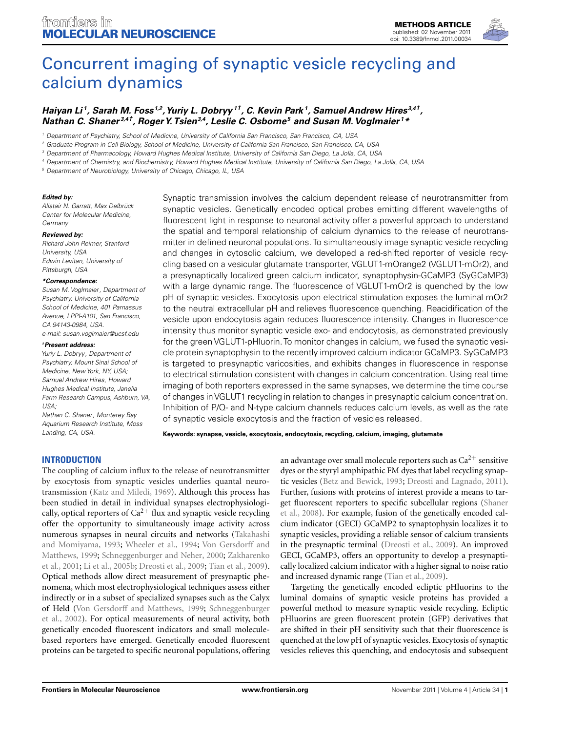

# [Concurrent imaging of synaptic vesicle recycling and](http://www.frontiersin.org/Molecular_Neuroscience/10.3389/fnmol.2011.00034/abstract) calcium dynamics

*Haiyan Li 1, Sarah M. Foss 1,2,Yuriy L. Dobryy 1†, C. Kevin Park 1, [Samuel Andrew Hires](http://www.frontiersin.org/Community/WhosWhoDetails.aspx?UID=37256&d=1&sname=SamuelHires&name=Science) 3,4†, [Nathan C. Shaner](http://www.frontiersin.org/Community/WhosWhoDetails.aspx?UID=31829&d=1&sname=NathanShaner&name=Science) 3,4†, RogerY. Tsien3,4, [Leslie C. Osborne5](http://www.frontiersin.org/Community/WhosWhoDetails.aspx?UID=10948&d=1&sname=LeslieOsborne&name=Science) and [Susan M. Voglmaier](http://www.frontiersin.org/Community/WhosWhoDetails.aspx?UID=29865&d=1&sname=SusanVoglmaier&name=Science) 1\**

<sup>1</sup> Department of Psychiatry, School of Medicine, University of California San Francisco, San Francisco, CA, USA

Graduate Program in Cell Biology, School of Medicine, University of California San Francisco, San Francisco, CA, USA

<sup>3</sup> Department of Pharmacology, Howard Hughes Medical Institute, University of California San Diego, La Jolla, CA, USA

<sup>4</sup> Department of Chemistry, and Biochemistry, Howard Hughes Medical Institute, University of California San Diego, La Jolla, CA, USA

<sup>5</sup> Department of Neurobiology, University of Chicago, Chicago, IL, USA

#### *Edited by:*

Alistair N. Garratt, Max Delbrück Center for Molecular Medicine, Germany

#### *Reviewed by:*

Richard John Reimer, Stanford University, USA Edwin Levitan, University of Pittsburgh, USA

#### *\*Correspondence:*

Susan M. Voglmaier, Department of Psychiatry, University of California School of Medicine, 401 Parnassus Avenue, LPPI-A101, San Francisco, CA 94143-0984, USA. e-mail: [susan.voglmaier@ucsf.edu](mailto:susan.voglmaier@ucsf.edu)

#### *†Present address:*

Yuriy L. Dobryy, Department of Psychiatry, Mount Sinai School of Medicine, New York, NY, USA; Samuel Andrew Hires, Howard Hughes Medical Institute, Janelia Farm Research Campus, Ashburn, VA,  $USA$ 

Nathan C. Shaner, Monterey Bay Aquarium Research Institute, Moss Landing, CA, USA.

Synaptic transmission involves the calcium dependent release of neurotransmitter from synaptic vesicles. Genetically encoded optical probes emitting different wavelengths of fluorescent light in response to neuronal activity offer a powerful approach to understand the spatial and temporal relationship of calcium dynamics to the release of neurotransmitter in defined neuronal populations. To simultaneously image synaptic vesicle recycling and changes in cytosolic calcium, we developed a red-shifted reporter of vesicle recycling based on a vesicular glutamate transporter, VGLUT1-mOrange2 (VGLUT1-mOr2), and a presynaptically localized green calcium indicator, synaptophysin-GCaMP3 (SyGCaMP3) with a large dynamic range. The fluorescence of VGLUT1-mOr2 is quenched by the low pH of synaptic vesicles. Exocytosis upon electrical stimulation exposes the luminal mOr2 to the neutral extracellular pH and relieves fluorescence quenching. Reacidification of the vesicle upon endocytosis again reduces fluorescence intensity. Changes in fluorescence intensity thus monitor synaptic vesicle exo- and endocytosis, as demonstrated previously for the green VGLUT1-pHluorin. To monitor changes in calcium, we fused the synaptic vesicle protein synaptophysin to the recently improved calcium indicator GCaMP3. SyGCaMP3 is targeted to presynaptic varicosities, and exhibits changes in fluorescence in response to electrical stimulation consistent with changes in calcium concentration. Using real time imaging of both reporters expressed in the same synapses, we determine the time course of changes in VGLUT1 recycling in relation to changes in presynaptic calcium concentration. Inhibition of P/Q- and N-type calcium channels reduces calcium levels, as well as the rate of synaptic vesicle exocytosis and the fraction of vesicles released.

**Keywords: synapse, vesicle, exocytosis, endocytosis, recycling, calcium, imaging, glutamate**

### **INTRODUCTION**

The coupling of calcium influx to the release of neurotransmitter by exocytosis from synaptic vesicles underlies quantal neurotransmission [\(Katz and Miledi](#page-8-0), [1969](#page-8-0)). Although this process has been studied in detail in individual synapses electrophysiologically, optical reporters of  $Ca^{2+}$  flux and synaptic vesicle recycling offer the opportunity to simultaneously image activity across numerous syna[pses in neural circuits and networks \(](#page-9-0)Takahashi and Momiyama, [1993](#page-9-0); [Wheeler et al., 1994;](#page-9-0) Von Gersdorff and Matthews, [1999](#page-9-0); [Schneggenburger and Neher](#page-8-0)[,](#page-9-0) [2000;](#page-8-0) Zakharenko et al., [2001;](#page-9-0) [Li et al.](#page-8-0), [2005b;](#page-8-0) [Dreosti et al., 2009](#page-8-0); [Tian et al., 2009](#page-9-0)). Optical methods allow direct measurement of presynaptic phenomena, which most electrophysiological techniques assess either indirectly or in a subset of specialized synapses such as the Calyx of H[eld](#page-8-0) [\(Von Gersdorff and Matthews, 1999;](#page-9-0) Schneggenburger et al., [2002](#page-8-0)). For optical measurements of neural activity, both genetically encoded fluorescent indicators and small moleculebased reporters have emerged. Genetically encoded fluorescent proteins can be targeted to specific neuronal populations, offering

an advantage over small molecule reporters such as  $Ca^{2+}$  sensitive dyes or the styryl amphipathic FM dyes that label recycling synaptic vesicles [\(Betz and Bewick, 1993;](#page-8-0) [Dreosti and Lagnado](#page-8-0), [2011](#page-8-0)). Further, fusions with proteins of interest provide a means to target [fluorescent](#page-8-0) [reporters](#page-8-0) [to](#page-8-0) [specific](#page-8-0) [subcellular](#page-8-0) [regions](#page-8-0) [\(](#page-8-0)Shaner et al., [2008](#page-8-0)). For example, fusion of the genetically encoded calcium indicator (GECI) GCaMP2 to synaptophysin localizes it to synaptic vesicles, providing a reliable sensor of calcium transients in the presynaptic terminal [\(Dreosti et al.](#page-8-0), [2009\)](#page-8-0). An improved GECI, GCaMP3, offers an opportunity to develop a presynaptically localized calcium indicator with a higher signal to noise ratio and increased dynamic range [\(Tian et al., 2009\)](#page-9-0).

Targeting the genetically encoded ecliptic pHluorins to the luminal domains of synaptic vesicle proteins has provided a powerful method to measure synaptic vesicle recycling. Ecliptic pHluorins are green fluorescent protein (GFP) derivatives that are shifted in their pH sensitivity such that their fluorescence is quenched at the low pH of synaptic vesicles. Exocytosis of synaptic vesicles relieves this quenching, and endocytosis and subsequent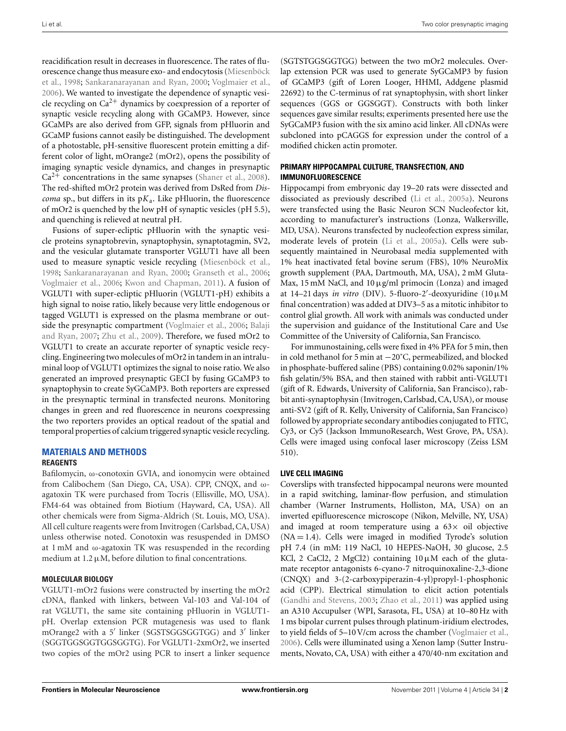reacidification result in decreases in fluorescence. The rates of fluores[cence change thus measure exo- and endocytosis \(](#page-8-0)Miesenböck et al., [1998](#page-8-0); [Sankaranarayanan and Ryan](#page-8-0), [2000;](#page-8-0) [Voglmaier et al.,](#page-9-0) [2006\)](#page-9-0). We wanted to investigate the dependence of synaptic vesicle recycling on  $Ca^{2+}$  dynamics by coexpression of a reporter of synaptic vesicle recycling along with GCaMP3. However, since GCaMPs are also derived from GFP, signals from pHluorin and GCaMP fusions cannot easily be distinguished. The development of a photostable, pH-sensitive fluorescent protein emitting a different color of light, mOrange2 (mOr2), opens the possibility of imaging synaptic vesicle dynamics, and changes in presynaptic  $Ca^{2+}$  concentrations in the same synapses [\(Shaner et al., 2008](#page-8-0)). The red-shifted mOr2 protein was derived from DsRed from *Discoma* sp., but differs in its  $pK_a$ . Like pHluorin, the fluorescence of mOr2 is quenched by the low pH of synaptic vesicles (pH 5.5), and quenching is relieved at neutral pH.

Fusions of super-ecliptic pHluorin with the synaptic vesicle proteins synaptobrevin, synaptophysin, synaptotagmin, SV2, and the vesicular glutamate transporter VGLUT1 have all been used to measure synaptic vesicle recycling [\(Miesenböck et al.,](#page-8-0) [1998;](#page-8-0) [Sankaranarayanan and Ryan](#page-8-0), [2000](#page-8-0); [Granseth et al.](#page-8-0), [2006;](#page-8-0) [Voglmaier et al.](#page-9-0), [2006;](#page-9-0) [Kwon and Chapman](#page-8-0), [2011\)](#page-8-0). A fusion of VGLUT1 with super-ecliptic pHluorin (VGLUT1-pH) exhibits a high signal to noise ratio, likely because very little endogenous or tagged VGLUT1 is expressed on the plasma membrane or outside the [presynaptic](#page-8-0) [compartment](#page-8-0) [\(Voglmaier et al.](#page-9-0)[,](#page-8-0) [2006](#page-9-0)[;](#page-8-0) Balaji and Ryan, [2007](#page-8-0); [Zhu et al., 2009\)](#page-9-0). Therefore, we fused mOr2 to VGLUT1 to create an accurate reporter of synaptic vesicle recycling. Engineering two molecules of mOr2 in tandem in an intraluminal loop of VGLUT1 optimizes the signal to noise ratio. We also generated an improved presynaptic GECI by fusing GCaMP3 to synaptophysin to create SyGCaMP3. Both reporters are expressed in the presynaptic terminal in transfected neurons. Monitoring changes in green and red fluorescence in neurons coexpressing the two reporters provides an optical readout of the spatial and temporal properties of calcium triggered synaptic vesicle recycling.

# **MATERIALS AND METHODS**

### **REAGENTS**

Bafilomycin, ω-conotoxin GVIA, and ionomycin were obtained from Calibochem (San Diego, CA, USA). CPP, CNQX, and ωagatoxin TK were purchased from Tocris (Ellisville, MO, USA). FM4-64 was obtained from Biotium (Hayward, CA, USA). All other chemicals were from Sigma-Aldrich (St. Louis, MO, USA). All cell culture reagents were from Invitrogen (Carlsbad, CA, USA) unless otherwise noted. Conotoxin was resuspended in DMSO at 1 mM and ω-agatoxin TK was resuspended in the recording medium at  $1.2 \mu$ M, before dilution to final concentrations.

## **MOLECULAR BIOLOGY**

VGLUT1-mOr2 fusions were constructed by inserting the mOr2 cDNA, flanked with linkers, between Val-103 and Val-104 of rat VGLUT1, the same site containing pHluorin in VGLUT1 pH. Overlap extension PCR mutagenesis was used to flank mOrange2 with a 5' linker (SGSTSGGSGGTGG) and 3' linker (SGGTGGSGGTGGSGGTG). For VGLUT1-2xmOr2, we inserted two copies of the mOr2 using PCR to insert a linker sequence

(SGTSTGGSGGTGG) between the two mOr2 molecules. Overlap extension PCR was used to generate SyGCaMP3 by fusion of GCaMP3 (gift of Loren Looger, HHMI, Addgene plasmid 22692) to the C-terminus of rat synaptophysin, with short linker sequences (GGS or GGSGGT). Constructs with both linker sequences gave similar results; experiments presented here use the SyGCaMP3 fusion with the six amino acid linker. All cDNAs were subcloned into pCAGGS for expression under the control of a modified chicken actin promoter.

# **PRIMARY HIPPOCAMPAL CULTURE, TRANSFECTION, AND IMMUNOFLUORESCENCE**

Hippocampi from embryonic day 19–20 rats were dissected and dissociated as previously described [\(Li et al.](#page-8-0), [2005a](#page-8-0)). Neurons were transfected using the Basic Neuron SCN Nucleofector kit, according to manufacturer's instructions (Lonza, Walkersville, MD, USA). Neurons transfected by nucleofection express similar, moderate levels of protein [\(Li et al.](#page-8-0), [2005a\)](#page-8-0). Cells were subsequently maintained in Neurobasal media supplemented with 1% heat inactivated fetal bovine serum (FBS), 10% NeuroMix growth supplement (PAA, Dartmouth, MA, USA), 2 mM Gluta-Max, 15 mM NaCl, and 10μg/ml primocin (Lonza) and imaged at 14–21 days *in vitro* (DIV). 5-fluoro-2'-deoxyuridine (10μM final concentration) was added at DIV3–5 as a mitotic inhibitor to control glial growth. All work with animals was conducted under the supervision and guidance of the Institutional Care and Use Committee of the University of California, San Francisco.

For immunostaining, cells were fixed in 4% PFA for 5 min, then in cold methanol for 5 min at −20˚C, permeabilized, and blocked in phosphate-buffered saline (PBS) containing 0.02% saponin/1% fish gelatin/5% BSA, and then stained with rabbit anti-VGLUT1 (gift of R. Edwards, University of California, San Francisco), rabbit anti-synaptophysin (Invitrogen, Carlsbad, CA, USA), or mouse anti-SV2 (gift of R. Kelly, University of California, San Francisco) followed by appropriate secondary antibodies conjugated to FITC, Cy3, or Cy5 (Jackson ImmunoResearch, West Grove, PA, USA). Cells were imaged using confocal laser microscopy (Zeiss LSM 510).

### **LIVE CELL IMAGING**

Coverslips with transfected hippocampal neurons were mounted in a rapid switching, laminar-flow perfusion, and stimulation chamber (Warner Instruments, Holliston, MA, USA) on an inverted epifluorescence microscope (Nikon, Melville, NY, USA) and imaged at room temperature using a  $63\times$  oil objective  $(NA = 1.4)$ . Cells were imaged in modified Tyrode's solution pH 7.4 (in mM: 119 NaCl, 10 HEPES-NaOH, 30 glucose, 2.5 KCl, 2 CaCl2, 2 MgCl2) containing 10μM each of the glutamate receptor antagonists 6-cyano-7 nitroquinoxaline-2,3-dione (CNQX) and 3-(2-carboxypiperazin-4-yl)propyl-1-phosphonic acid (CPP). Electrical stimulation to elicit action potentials [\(Gandhi and Stevens](#page-8-0), [2003](#page-8-0); [Zhao et al., 2011\)](#page-9-0) was applied using an A310 Accupulser (WPI, Sarasota, FL, USA) at 10–80 Hz with 1 ms bipolar current pulses through platinum-iridium electrodes, to yield fields of 5–10V/cm across the chamber [\(Voglmaier et al.,](#page-9-0) [2006\)](#page-9-0). Cells were illuminated using a Xenon lamp (Sutter Instruments, Novato, CA, USA) with either a 470/40-nm excitation and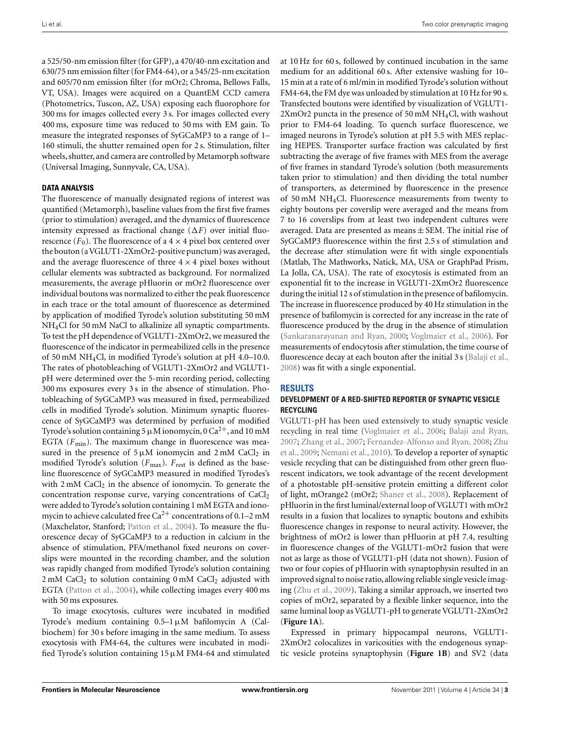a 525/50-nm emission filter (for GFP), a 470/40-nm excitation and 630/75 nm emission filter (for FM4-64), or a 545/25-nm excitation and 605/70 nm emission filter (for mOr2; Chroma, Bellows Falls, VT, USA). Images were acquired on a QuantEM CCD camera (Photometrics, Tuscon, AZ, USA) exposing each fluorophore for 300 ms for images collected every 3 s. For images collected every 400 ms, exposure time was reduced to 50 ms with EM gain. To measure the integrated responses of SyGCaMP3 to a range of 1– 160 stimuli, the shutter remained open for 2 s. Stimulation, filter wheels, shutter, and camera are controlled by Metamorph software (Universal Imaging, Sunnyvale, CA, USA).

# **DATA ANALYSIS**

The fluorescence of manually designated regions of interest was quantified (Metamorph), baseline values from the first five frames (prior to stimulation) averaged, and the dynamics of fluorescence intensity expressed as fractional change  $(\Delta F)$  over initial fluorescence  $(F_0)$ . The fluorescence of a  $4 \times 4$  pixel box centered over the bouton (aVGLUT1-2XmOr2-positive punctum) was averaged, and the average fluorescence of three  $4 \times 4$  pixel boxes without cellular elements was subtracted as background. For normalized measurements, the average pHluorin or mOr2 fluorescence over individual boutons was normalized to either the peak fluorescence in each trace or the total amount of fluorescence as determined by application of modified Tyrode's solution substituting 50 mM NH4Cl for 50 mM NaCl to alkalinize all synaptic compartments. To test the pH dependence of VGLUT1-2XmOr2, we measured the fluorescence of the indicator in permeabilized cells in the presence of 50 mM NH4Cl, in modified Tyrode's solution at pH 4.0–10.0. The rates of photobleaching of VGLUT1-2XmOr2 and VGLUT1 pH were determined over the 5-min recording period, collecting 300 ms exposures every 3 s in the absence of stimulation. Photobleaching of SyGCaMP3 was measured in fixed, permeabilized cells in modified Tyrode's solution. Minimum synaptic fluorescence of SyGCaMP3 was determined by perfusion of modified Tyrode's solution containing 5  $\mu$ M ionomycin, 0 Ca<sup>2+</sup>, and 10 mM EGTA ( $F_{\text{min}}$ ). The maximum change in fluorescence was measured in the presence of  $5 \mu M$  ionomycin and  $2 \text{ mM }$  CaCl<sub>2</sub> in modified Tyrode's solution ( $F_{\text{max}}$ ).  $F_{\text{rest}}$  is defined as the baseline fluorescence of SyGCaMP3 measured in modified Tyrodes's with  $2 \text{ mM } CaCl<sub>2</sub>$  in the absence of ionomycin. To generate the concentration response curve, varying concentrations of  $CaCl<sub>2</sub>$ were added to Tyrode's solution containing 1 mM EGTA and ionomycin to achieve calculated free  $Ca^{2+}$  concentrations of 0.1–2 mM (Maxchelator, Stanford; [Patton et al., 2004\)](#page-8-0). To measure the fluorescence decay of SyGCaMP3 to a reduction in calcium in the absence of stimulation, PFA/methanol fixed neurons on coverslips were mounted in the recording chamber, and the solution was rapidly changed from modified Tyrode's solution containing  $2 \text{ mM }$  CaCl<sub>2</sub> to solution containing  $0 \text{ mM }$  CaCl<sub>2</sub> adjusted with EGTA [\(Patton et al., 2004](#page-8-0)), while collecting images every 400 ms with 50 ms exposures.

To image exocytosis, cultures were incubated in modified Tyrode's medium containing 0.5–1μM bafilomycin A (Calbiochem) for 30 s before imaging in the same medium. To assess exocytosis with FM4-64, the cultures were incubated in modified Tyrode's solution containing  $15 \mu M$  FM4-64 and stimulated

at 10 Hz for 60 s, followed by continued incubation in the same medium for an additional 60 s. After extensive washing for 10– 15 min at a rate of 6 ml/min in modified Tyrode's solution without FM4-64, the FM dye was unloaded by stimulation at 10 Hz for 90 s. Transfected boutons were identified by visualization of VGLUT1- 2XmOr2 puncta in the presence of 50 mM NH4Cl, with washout prior to FM4-64 loading. To quench surface fluorescence, we imaged neurons in Tyrode's solution at pH 5.5 with MES replacing HEPES. Transporter surface fraction was calculated by first subtracting the average of five frames with MES from the average of five frames in standard Tyrode's solution (both measurements taken prior to stimulation) and then dividing the total number of transporters, as determined by fluorescence in the presence of 50 mM NH4Cl. Fluorescence measurements from twenty to eighty boutons per coverslip were averaged and the means from 7 to 16 coverslips from at least two independent cultures were averaged. Data are presented as means  $\pm$  SEM. The initial rise of SyGCaMP3 fluorescence within the first 2.5 s of stimulation and the decrease after stimulation were fit with single exponentials (Matlab, The Mathworks, Natick, MA, USA or GraphPad Prism, La Jolla, CA, USA). The rate of exocytosis is estimated from an exponential fit to the increase in VGLUT1-2XmOr2 fluorescence during the initial 12 s of stimulation in the presence of bafilomycin. The increase in fluorescence produced by 40 Hz stimulation in the presence of bafilomycin is corrected for any increase in the rate of fluorescence produced by the drug in the absence of stimulation [\(Sankaranarayanan and Ryan](#page-8-0), [2000](#page-8-0); [Voglmaier et al., 2006](#page-9-0)). For measurements of endocytosis after stimulation, the time course of fluorescence decay at each bouton after the initial 3 s [\(Balaji et al.,](#page-8-0) [2008\)](#page-8-0) was fit with a single exponential.

### **RESULTS**

### **DEVELOPMENT OF A RED-SHIFTED REPORTER OF SYNAPTIC VESICLE RECYCLING**

VGLUT1-pH has been used extensively to study synaptic vesicle recycling in real time [\(Voglmaier et al.](#page-9-0), [2006;](#page-9-0) [Balaji and Ryan,](#page-8-0) [2007;](#page-8-0) [Zhang et al.](#page-9-0), [2007;](#page-9-0) [Fernandez-Alfonso and Ryan](#page-8-0)[,](#page-9-0) [2008](#page-8-0)[;](#page-9-0) Zhu et al., [2009](#page-9-0); [Nemani et al.](#page-8-0), [2010](#page-8-0)). To develop a reporter of synaptic vesicle recycling that can be distinguished from other green fluorescent indicators, we took advantage of the recent development of a photostable pH-sensitive protein emitting a different color of light, mOrange2 (mOr2; [Shaner et al., 2008\)](#page-8-0). Replacement of pHluorin in the first luminal/external loop of VGLUT1 with mOr2 results in a fusion that localizes to synaptic boutons and exhibits fluorescence changes in response to neural activity. However, the brightness of mOr2 is lower than pHluorin at pH 7.4, resulting in fluorescence changes of the VGLUT1-mOr2 fusion that were not as large as those of VGLUT1-pH (data not shown). Fusion of two or four copies of pHluorin with synaptophysin resulted in an improved signal to noise ratio, allowing reliable single vesicle imaging [\(Zhu et al.](#page-9-0), [2009\)](#page-9-0). Taking a similar approach, we inserted two copies of mOr2, separated by a flexible linker sequence, into the same luminal loop as VGLUT1-pH to generate VGLUT1-2XmOr2 (**[Figure 1A](#page-3-0)**).

Expressed in primary hippocampal neurons, VGLUT1- 2XmOr2 colocalizes in varicosities with the endogenous synaptic vesicle proteins synaptophysin (**[Figure 1B](#page-3-0)**) and SV2 (data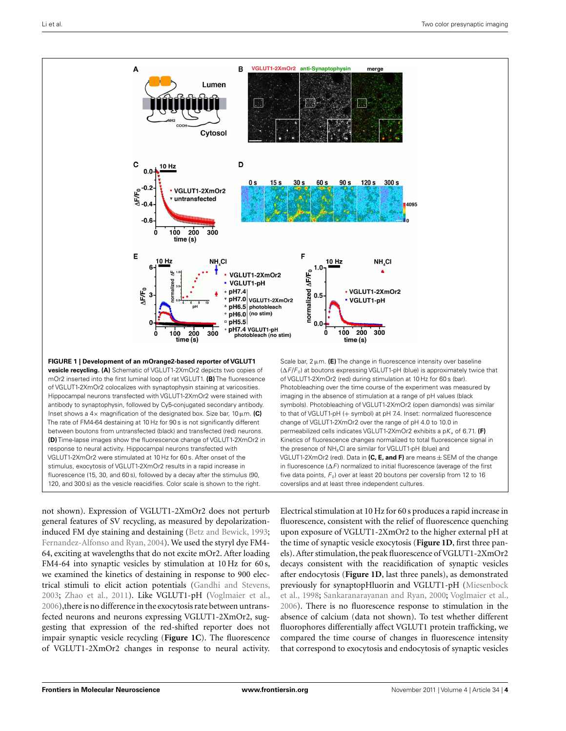<span id="page-3-0"></span>

**FIGURE 1 | Development of an mOrange2-based reporter of VGLUT1 vesicle recycling. (A)** Schematic of VGLUT1-2XmOr2 depicts two copies of mOr2 inserted into the first luminal loop of rat VGLUT1. **(B)** The fluorescence of VGLUT1-2XmOr2 colocalizes with synaptophysin staining at varicosities. Hippocampal neurons transfected with VGLUT1-2XmOr2 were stained with antibody to synaptophysin, followed by Cy5-conjugated secondary antibody. Inset shows a 4× magnification of the designated box. Size bar, 10μm. **(C)** The rate of FM4-64 destaining at 10 Hz for 90 s is not significantly different between boutons from untransfected (black) and transfected (red) neurons. **(D)** Time-lapse images show the fluorescence change of VGLUT1-2XmOr2 in response to neural activity. Hippocampal neurons transfected with VGLUT1-2XmOr2 were stimulated at 10 Hz for 60 s. After onset of the stimulus, exocytosis of VGLUT1-2XmOr2 results in a rapid increase in fluorescence (15, 30, and 60 s), followed by a decay after the stimulus (90, 120, and 300 s) as the vesicle reacidifies. Color scale is shown to the right.

Scale bar, 2μm. **(E)** The change in fluorescence intensity over baseline  $(\Delta F/F_0)$  at boutons expressing VGLUT1-pH (blue) is approximately twice that of VGLUT1-2XmOr2 (red) during stimulation at 10 Hz for 60 s (bar). Photobleaching over the time course of the experiment was measured by imaging in the absence of stimulation at a range of pH values (black symbols). Photobleaching of VGLUT1-2XmOr2 (open diamonds) was similar to that of VGLUT1-pH (+ symbol) at pH 7.4. Inset: normalized fluorescence change of VGLUT1-2XmOr2 over the range of pH 4.0 to 10.0 in permeabilized cells indicates VGLUT1-2XmOr2 exhibits a pK<sub>a</sub> of 6.71. **(F)** Kinetics of fluorescence changes normalized to total fluorescence signal in the presence of NH<sub>4</sub>Cl are similar for VGLUT1-pH (blue) and VGLUT1-2XmOr2 (red). Data in **(C, E, and F)** are means ± SEM of the change in fluorescence  $(\Delta F)$  normalized to initial fluorescence (average of the first five data points,  $F_0$ ) over at least 20 boutons per coverslip from 12 to 16 coverslips and at least three independent cultures.

not shown). Expression of VGLUT1-2XmOr2 does not perturb general features of SV recycling, as measured by depolarizationinduced FM dye staining and destaining [\(Betz and Bewick](#page-8-0), [1993;](#page-8-0) [Fernandez-Alfonso and Ryan](#page-8-0), [2004](#page-8-0)). We used the styryl dye FM4- 64, exciting at wavelengths that do not excite mOr2. After loading FM4-64 into synaptic vesicles by stimulation at 10 Hz for 60 s, we examined the kinetics of destaining in response to 900 electrical stimuli to elicit action potentials [\(Gandhi and Stevens,](#page-8-0) [2003;](#page-8-0) [Zhao et al.](#page-9-0), [2011\)](#page-9-0). Like VGLUT1-pH [\(Voglmaier et al.,](#page-9-0) [2006\)](#page-9-0),there is no difference in the exocytosis rate between untransfected neurons and neurons expressing VGLUT1-2XmOr2, suggesting that expression of the red-shifted reporter does not impair synaptic vesicle recycling (**Figure 1C**). The fluorescence of VGLUT1-2XmOr2 changes in response to neural activity.

Electrical stimulation at 10 Hz for 60 s produces a rapid increase in fluorescence, consistent with the relief of fluorescence quenching upon exposure of VGLUT1-2XmOr2 to the higher external pH at the time of synaptic vesicle exocytosis (**Figure 1D**, first three panels). After stimulation, the peak fluorescence of VGLUT1-2XmOr2 decays consistent with the reacidification of synaptic vesicles after endocytosis (**Figure 1D**, last three panels), as demonstrated prev[iously for synaptopHluorin and VGLUT1-pH \(](#page-8-0)Miesenbock et al., [1998](#page-8-0); [Sankaranarayanan and Ryan](#page-8-0), [2000;](#page-8-0) [Voglmaier et al.,](#page-9-0) [2006\)](#page-9-0). There is no fluorescence response to stimulation in the absence of calcium (data not shown). To test whether different fluorophores differentially affect VGLUT1 protein trafficking, we compared the time course of changes in fluorescence intensity that correspond to exocytosis and endocytosis of synaptic vesicles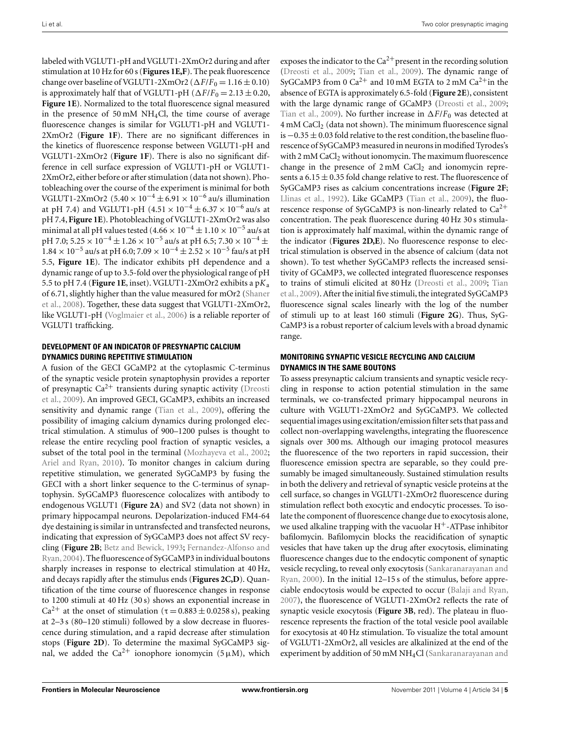labeled with VGLUT1-pH and VGLUT1-2XmOr2 during and after stimulation at 10 Hz for 60 s (**[Figures 1E,F](#page-3-0)**). The peak fluorescence change over baseline of VGLUT1-2XmOr2 ( $\Delta F/F_0 = 1.16 \pm 0.10$ ) is approximately half that of VGLUT1-pH ( $\Delta F/F_0 = 2.13 \pm 0.20$ , **[Figure 1E](#page-3-0)**). Normalized to the total fluorescence signal measured in the presence of 50 mM NH4Cl, the time course of average fluorescence changes is similar for VGLUT1-pH and VGLUT1- 2XmOr2 (**[Figure 1F](#page-3-0)**). There are no significant differences in the kinetics of fluorescence response between VGLUT1-pH and VGLUT1-2XmOr2 (**[Figure 1F](#page-3-0)**). There is also no significant difference in cell surface expression of VGLUT1-pH or VGLUT1- 2XmOr2, either before or after stimulation (data not shown). Photobleaching over the course of the experiment is minimal for both VGLUT1-2XmOr2 (5.40 ×  $10^{-4}$  ± 6.91 ×  $10^{-6}$  au/s illumination at pH 7.4) and VGLUT1-pH (4.51 ×  $10^{-4} \pm 6.37 \times 10^{-6}$  au/s at pH 7.4, **[Figure 1E](#page-3-0)**). Photobleaching of VGLUT1-2XmOr2 was also minimal at all pH values tested (4.66  $\times$   $10^{-4}$   $\pm$   $1.10$   $\times$   $10^{-5}$  au/s at pH 7.0;  $5.25 \times 10^{-4} \pm 1.26 \times 10^{-5}$  au/s at pH 6.5;  $7.30 \times 10^{-4} \pm 1.26 \times 10^{-5}$  $1.84 \times 10^{-5}$  au/s at pH 6.0;  $7.09 \times 10^{-4} \pm 2.52 \times 10^{-5}$  fau/s at pH 5.5, **[Figure 1E](#page-3-0)**). The indicator exhibits pH dependence and a dynamic range of up to 3.5-fold over the physiological range of pH 5.5 to pH 7.4 (**[Figure 1E](#page-3-0)**, inset). VGLUT1-2XmOr2 exhibits a p*K*<sup>a</sup> of 6.[71, slightly higher than the value measured for mOr2 \(](#page-8-0)Shaner et al., [2008](#page-8-0)). Together, these data suggest that VGLUT1-2XmOr2, like VGLUT1-pH [\(Voglmaier et al.](#page-9-0), [2006](#page-9-0)) is a reliable reporter of VGLUT1 trafficking.

# **DEVELOPMENT OF AN INDICATOR OF PRESYNAPTIC CALCIUM DYNAMICS DURING REPETITIVE STIMULATION**

A fusion of the GECI GCaMP2 at the cytoplasmic C-terminus of the synaptic vesicle protein synaptophysin provides a reporter of presynaptic  $Ca^{2+}$  [transients during synaptic activity \(](#page-8-0)Dreosti et al., [2009](#page-8-0)). An improved GECI, GCaMP3, exhibits an increased sensitivity and dynamic range [\(Tian et al.](#page-9-0), [2009](#page-9-0)), offering the possibility of imaging calcium dynamics during prolonged electrical stimulation. A stimulus of 900–1200 pulses is thought to release the entire recycling pool fraction of synaptic vesicles, a subset of the total pool in the terminal [\(Mozhayeva et al., 2002;](#page-8-0) [Ariel and Ryan, 2010\)](#page-8-0). To monitor changes in calcium during repetitive stimulation, we generated SyGCaMP3 by fusing the GECI with a short linker sequence to the C-terminus of synaptophysin. SyGCaMP3 fluorescence colocalizes with antibody to endogenous VGLUT1 (**[Figure 2A](#page-5-0)**) and SV2 (data not shown) in primary hippocampal neurons. Depolarization-induced FM4-64 dye destaining is similar in untransfected and transfected neurons, indicating that expression of SyGCaMP3 does not affect SV recycling (**[Figure 2B](#page-5-0)**; [Betz and Bewick, 1993;](#page-8-0) Fernandez-Alfonso and Ryan,[2004](#page-8-0)). The fluorescence of SyGCaMP3 in individual boutons sharply increases in response to electrical stimulation at 40 Hz, and decays rapidly after the stimulus ends (**[Figures 2C,D](#page-5-0)**). Quantification of the time course of fluorescence changes in response to 1200 stimuli at 40 Hz (30 s) shows an exponential increase in  $Ca^{2+}$  at the onset of stimulation ( $\tau = 0.883 \pm 0.0258$  s), peaking at 2–3 s (80–120 stimuli) followed by a slow decrease in fluorescence during stimulation, and a rapid decrease after stimulation stops (**[Figure 2D](#page-5-0)**). To determine the maximal SyGCaMP3 signal, we added the Ca<sup>2+</sup> ionophore ionomycin (5  $\mu$ M), which

exposes the indicator to the  $Ca^{2+}$  present in the recording solution [\(Dreosti et al.](#page-8-0), [2009](#page-8-0); [Tian et al., 2009](#page-9-0)). The dynamic range of SyGCaMP3 from 0  $Ca^{2+}$  and 10 mM EGTA to 2 mM  $Ca^{2+}$  in the absence of EGTA is approximately 6.5-fold (**[Figure 2E](#page-5-0)**), consistent with the large dynamic range of GCaMP3 [\(Dreosti et al.](#page-8-0), [2009;](#page-8-0) [Tian et al.](#page-9-0), [2009](#page-9-0)). No further increase in  $\Delta F/F_0$  was detected at  $4 \text{ mM }$  CaCl<sub>2</sub> (data not shown). The minimum fluorescence signal is  $-0.35 \pm 0.03$  fold relative to the rest condition, the baseline fluorescence of SyGCaMP3 measured in neurons in modified Tyrodes's with 2 mM CaCl<sub>2</sub> without ionomycin. The maximum fluorescence change in the presence of  $2 \text{ mM }$  CaCl<sub>2</sub> and ionomycin represents a  $6.15 \pm 0.35$  fold change relative to rest. The fluorescence of SyGCaMP3 rises as calcium concentrations increase (**[Figure 2F](#page-5-0)**; [Llinas et al., 1992](#page-8-0)). Like GCaMP3 [\(Tian et al.](#page-9-0), [2009\)](#page-9-0), the fluorescence response of SyGCaMP3 is non-linearly related to  $Ca^{2+}$ concentration. The peak fluorescence during 40 Hz 30 s stimulation is approximately half maximal, within the dynamic range of the indicator (**[Figures 2D,E](#page-5-0)**). No fluorescence response to electrical stimulation is observed in the absence of calcium (data not shown). To test whether SyGCaMP3 reflects the increased sensitivity of GCaMP3, we collected integrated fluorescence responses to t[rains of stimuli elicited at 80 Hz](#page-9-0) [\(Dreosti et al.](#page-8-0)[,](#page-9-0) [2009](#page-8-0)[;](#page-9-0) Tian et al., [2009](#page-9-0)). After the initial five stimuli, the integrated SyGCaMP3 fluorescence signal scales linearly with the log of the number of stimuli up to at least 160 stimuli (**[Figure 2G](#page-5-0)**). Thus, SyG-CaMP3 is a robust reporter of calcium levels with a broad dynamic range.

# **MONITORING SYNAPTIC VESICLE RECYCLING AND CALCIUM DYNAMICS IN THE SAME BOUTONS**

To assess presynaptic calcium transients and synaptic vesicle recycling in response to action potential stimulation in the same terminals, we co-transfected primary hippocampal neurons in culture with VGLUT1-2XmOr2 and SyGCaMP3. We collected sequential images using excitation/emission filter sets that pass and collect non-overlapping wavelengths, integrating the fluorescence signals over 300 ms. Although our imaging protocol measures the fluorescence of the two reporters in rapid succession, their fluorescence emission spectra are separable, so they could presumably be imaged simultaneously. Sustained stimulation results in both the delivery and retrieval of synaptic vesicle proteins at the cell surface, so changes in VGLUT1-2XmOr2 fluorescence during stimulation reflect both exocytic and endocytic processes. To isolate the component of fluorescence change due to exocytosis alone, we used alkaline trapping with the vacuolar H<sup>+</sup>-ATPase inhibitor bafilomycin. Bafilomycin blocks the reacidification of synaptic vesicles that have taken up the drug after exocytosis, eliminating fluorescence changes due to the endocytic component of synaptic vesic[le recycling, to reveal only exocytosis \(](#page-8-0)Sankaranarayanan and Ryan, [2000](#page-8-0)). In the initial 12–15 s of the stimulus, before appreciable endocytosis would be expected to occur [\(Balaji and Ryan,](#page-8-0) [2007\)](#page-8-0), the fluorescence of VGLUT1-2XmOr2 reflects the rate of synaptic vesicle exocytosis (**[Figure 3B](#page-6-0)**, red). The plateau in fluorescence represents the fraction of the total vesicle pool available for exocytosis at 40 Hz stimulation. To visualize the total amount of VGLUT1-2XmOr2, all vesicles are alkalinized at the end of the experiment by addition of 50 mM NH<sub>4</sub>Cl (Sankaranarayanan and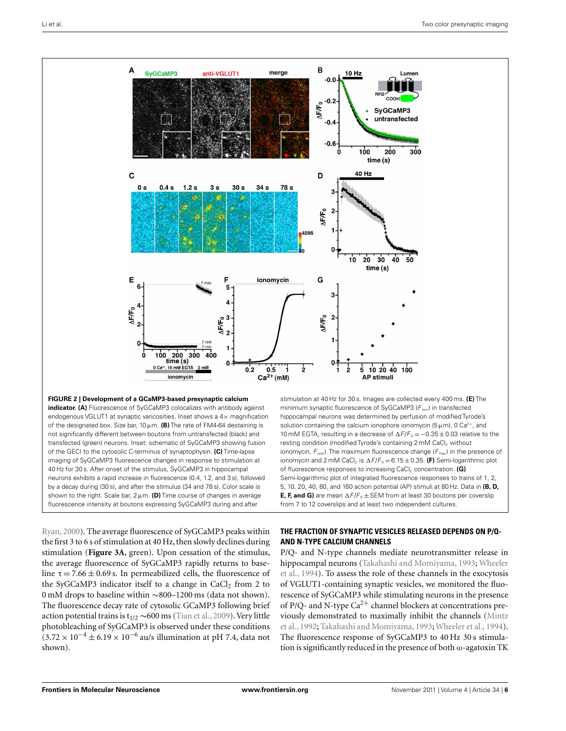<span id="page-5-0"></span>

imaging of SyGCaMP3 fluorescence changes in response to stimulation at 40 Hz for 30 s. After onset of the stimulus, SyGCaMP3 in hippocampal neurons exhibits a rapid increase in fluorescence (0.4, 1.2, and 3 s), followed by a decay during (30 s), and after the stimulus (34 and 78 s). Color scale is shown to the right. Scale bar, 2μm. **(D)** Time course of changes in average fluorescence intensity at boutons expressing SyGCaMP3 during and after

Ryan, [2000](#page-8-0)). The average fluorescence of SyGCaMP3 peaks within the first 3 to 6 s of stimulation at 40 Hz, then slowly declines during stimulation (**[Figure 3A](#page-6-0)**, green). Upon cessation of the stimulus, the average fluorescence of SyGCaMP3 rapidly returns to baseline  $\tau = 7.66 \pm 0.69$  s. In permeabilized cells, the fluorescence of the SyGCaMP3 indicator itself to a change in  $CaCl<sub>2</sub>$  from 2 to 0 mM drops to baseline within <sup>∼</sup>800–1200 ms (data not shown). The fluorescence decay rate of cytosolic GCaMP3 following brief action potential trains is t<sub>1/2</sub>  $\sim$ 600 ms [\(Tian et al., 2009\)](#page-9-0). Very little photobleaching of SyGCaMP3 is observed under these conditions (3.72 <sup>×</sup> <sup>10</sup>−<sup>4</sup> <sup>±</sup> 6.19 <sup>×</sup> <sup>10</sup>−<sup>6</sup> au/s illumination at pH 7.4, data not shown).

ionomycin and 2 mM CaCl<sub>2</sub> is  $\Delta F/F_0 = 6.15 \pm 0.35$ . **(F)** Semi-logarithmic plot of fluorescence responses to increasing CaCl<sub>2</sub> concentration. (G) Semi-logarithmic plot of integrated fluorescence responses to trains of 1, 2, 5, 10, 20, 40, 80, and 160 action potential (AP) stimuli at 80 Hz. Data in **(B, D, E, F, and G)** are mean  $\Delta F/F_0 \pm$  SEM from at least 30 boutons per coverslip from 7 to 12 coverslips and at least two independent cultures.

# **THE FRACTION OF SYNAPTIC VESICLES RELEASED DEPENDS ON P/Q-AND N-TYPE CALCIUM CHANNELS**

P/Q- and N-type channels mediate neurotransmitter release in hipp[ocampal neurons \(Takahashi and Momiyama, 1993;](#page-9-0) Wheeler et al., [1994](#page-9-0)). To assess the role of these channels in the exocytosis of VGLUT1-containing synaptic vesicles, we monitored the fluorescence of SyGCaMP3 while stimulating neurons in the presence of P/Q- and N-type  $Ca^{2+}$  channel blockers at concentrations previou[sly demonstrated to maximally inhibit the channels \(](#page-8-0)Mintz et al., [1992;](#page-8-0) [Takahashi and Momiyama, 1993;Wheeler et al.](#page-9-0), [1994](#page-9-0)). The fluorescence response of SyGCaMP3 to 40 Hz 30 s stimulation is significantly reduced in the presence of both ω-agatoxin TK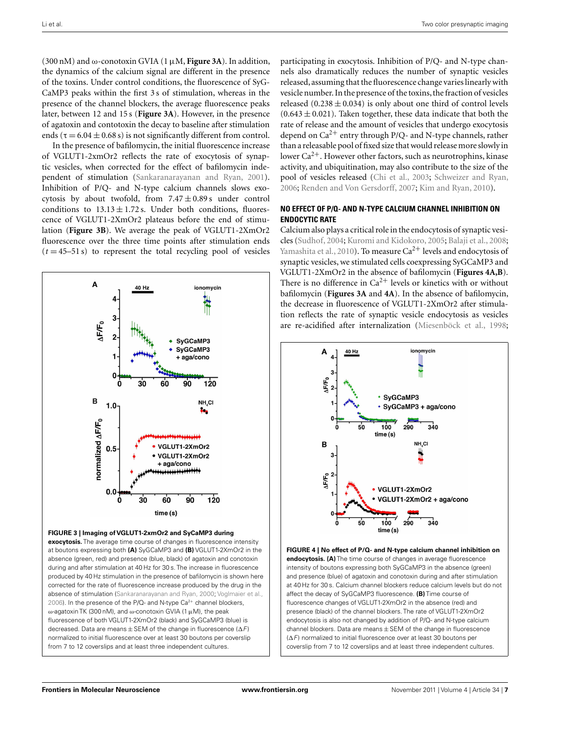<span id="page-6-0"></span>(300 nM) and ω-conotoxin GVIA (1μM, **Figure 3A**). In addition, the dynamics of the calcium signal are different in the presence of the toxins. Under control conditions, the fluorescence of SyG-CaMP3 peaks within the first 3 s of stimulation, whereas in the presence of the channel blockers, the average fluorescence peaks later, between 12 and 15 s (**Figure 3A**). However, in the presence of agatoxin and contotoxin the decay to baseline after stimulation ends ( $\tau$  = 6.04  $\pm$  0.68 s) is not significantly different from control.

In the presence of bafilomycin, the initial fluorescence increase of VGLUT1-2xmOr2 reflects the rate of exocytosis of synaptic vesicles, when corrected for the effect of bafilomycin independent of stimulation [\(Sankaranarayanan and Ryan, 2001](#page-8-0)). Inhibition of P/Q- and N-type calcium channels slows exocytosis by about twofold, from  $7.47 \pm 0.89$  s under control conditions to  $13.13 \pm 1.72$  s. Under both conditions, fluorescence of VGLUT1-2XmOr2 plateaus before the end of stimulation (**Figure 3B**). We average the peak of VGLUT1-2XmOr2 fluorescence over the three time points after stimulation ends  $(t = 45-51 s)$  to represent the total recycling pool of vesicles



**FIGURE 3 | Imaging of VGLUT1-2xmOr2 and SyCaMP3 during exocytosis.** The average time course of changes in fluorescence intensity at boutons expressing both **(A)** SyGCaMP3 and **(B)** VGLUT1-2XmOr2 in the absence (green, red) and presence (blue, black) of agatoxin and conotoxin during and after stimulation at 40 Hz for 30 s. The increase in fluorescence produced by 40 Hz stimulation in the presence of bafilomycin is shown here corrected for the rate of fluorescence increase produced by the drug in the absence of stimulation [\(Sankaranarayanan and Ryan](#page-8-0), [2000;](#page-8-0) [Voglmaier et al.,](#page-9-0) [2006\)](#page-9-0). In the presence of the P/Q- and N-type  $Ca^{2+}$  channel blockers, ω-agatoxin TK (300 nM), and ω-conotoxin GVIA (1μM), the peak fluorescence of both VGLUT1-2XmOr2 (black) and SyGCaMP3 (blue) is decreased. Data are means  $\pm$  SEM of the change in fluorescence ( $\Delta F$ ) normalized to initial fluorescence over at least 30 boutons per coverslip from 7 to 12 coverslips and at least three independent cultures.

participating in exocytosis. Inhibition of P/Q- and N-type channels also dramatically reduces the number of synaptic vesicles released, assuming that the fluorescence change varies linearly with vesicle number. In the presence of the toxins, the fraction of vesicles released  $(0.238 \pm 0.034)$  is only about one third of control levels  $(0.643 \pm 0.021)$ . Taken together, these data indicate that both the rate of release and the amount of vesicles that undergo exocytosis depend on  $Ca^{2+}$  entry through P/Q- and N-type channels, rather than a releasable pool of fixed size that would release more slowly in lower  $Ca^{2+}$ . However other factors, such as neurotrophins, kinase activity, and ubiquitination, may also contribute to the size of the pool of vesicles released [\(Chi et al., 2003](#page-8-0); [Schweizer and Ryan,](#page-8-0) [2006;](#page-8-0) [Renden and Von Gersdorff](#page-8-0), [2007;](#page-8-0) [Kim and Ryan](#page-8-0), [2010](#page-8-0)).

# **NO EFFECT OF P/Q- AND N-TYPE CALCIUM CHANNEL INHIBITION ON ENDOCYTIC RATE**

Calcium also plays a critical role in the endocytosis of synaptic vesicles [\(Sudhof, 2004;](#page-9-0) [Kuromi and Kidokoro](#page-8-0), [2005](#page-8-0); [Balaji et al., 2008;](#page-8-0) [Yamashita et al.](#page-9-0), [2010](#page-9-0)). To measure  $Ca^{2+}$  levels and endocytosis of synaptic vesicles, we stimulated cells coexpressing SyGCaMP3 and VGLUT1-2XmOr2 in the absence of bafilomycin (**Figures 4A,B**). There is no difference in  $Ca^{2+}$  levels or kinetics with or without bafilomycin (**Figures 3A** and **4A**). In the absence of bafilomycin, the decrease in fluorescence of VGLUT1-2XmOr2 after stimulation reflects the rate of synaptic vesicle endocytosis as vesicles are re-acidified after internalization [\(Miesenböck et al.](#page-8-0), [1998;](#page-8-0)

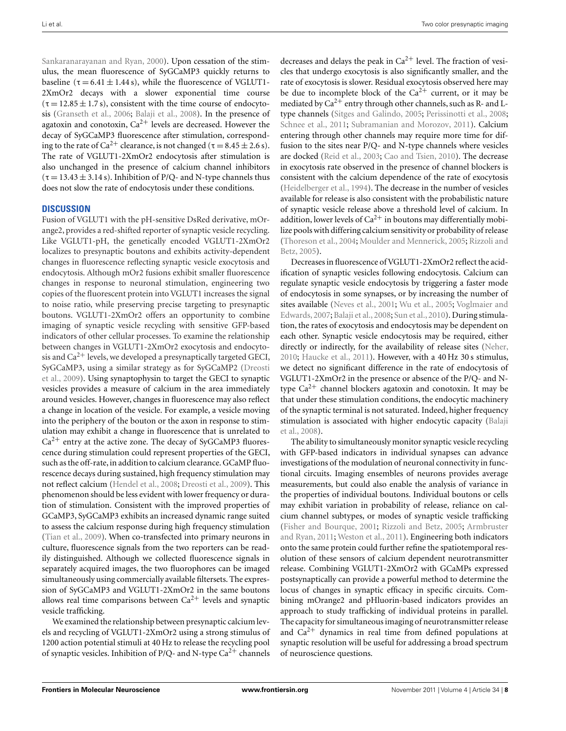[Sankaranarayanan and Ryan](#page-8-0), [2000\)](#page-8-0). Upon cessation of the stimulus, the mean fluorescence of SyGCaMP3 quickly returns to baseline ( $\tau = 6.41 \pm 1.44$  s), while the fluorescence of VGLUT1-2XmOr2 decays with a slower exponential time course  $(\tau = 12.85 \pm 1.7 s)$ , consistent with the time course of endocytosis [\(Granseth et al., 2006](#page-8-0); [Balaji et al., 2008\)](#page-8-0). In the presence of agatoxin and conotoxin,  $Ca^{2+}$  levels are decreased. However the decay of SyGCaMP3 fluorescence after stimulation, corresponding to the rate of  $Ca^{2+}$  clearance, is not changed ( $\tau = 8.45 \pm 2.6$  s). The rate of VGLUT1-2XmOr2 endocytosis after stimulation is also unchanged in the presence of calcium channel inhibitors  $(\tau = 13.43 \pm 3.14 \text{ s})$ . Inhibition of P/Q- and N-type channels thus does not slow the rate of endocytosis under these conditions.

# **DISCUSSION**

Fusion of VGLUT1 with the pH-sensitive DsRed derivative, mOrange2, provides a red-shifted reporter of synaptic vesicle recycling. Like VGLUT1-pH, the genetically encoded VGLUT1-2XmOr2 localizes to presynaptic boutons and exhibits activity-dependent changes in fluorescence reflecting synaptic vesicle exocytosis and endocytosis. Although mOr2 fusions exhibit smaller fluorescence changes in response to neuronal stimulation, engineering two copies of the fluorescent protein into VGLUT1 increases the signal to noise ratio, while preserving precise targeting to presynaptic boutons. VGLUT1-2XmOr2 offers an opportunity to combine imaging of synaptic vesicle recycling with sensitive GFP-based indicators of other cellular processes. To examine the relationship between changes in VGLUT1-2XmOr2 exocytosis and endocytosis and  $Ca^{2+}$  levels, we developed a presynaptically targeted GECI, SyG[CaMP3,](#page-8-0) [using](#page-8-0) [a](#page-8-0) [similar](#page-8-0) [strategy](#page-8-0) [as](#page-8-0) [for](#page-8-0) [SyGCaMP2](#page-8-0) [\(](#page-8-0)Dreosti et al., [2009\)](#page-8-0). Using synaptophysin to target the GECI to synaptic vesicles provides a measure of calcium in the area immediately around vesicles. However, changes in fluorescence may also reflect a change in location of the vesicle. For example, a vesicle moving into the periphery of the bouton or the axon in response to stimulation may exhibit a change in fluorescence that is unrelated to  $Ca^{2+}$  entry at the active zone. The decay of SyGCaMP3 fluorescence during stimulation could represent properties of the GECI, such as the off-rate, in addition to calcium clearance. GCaMP fluorescence decays during sustained, high frequency stimulation may not reflect calcium [\(Hendel et al., 2008](#page-8-0); [Dreosti et al., 2009](#page-8-0)). This phenomenon should be less evident with lower frequency or duration of stimulation. Consistent with the improved properties of GCaMP3, SyGCaMP3 exhibits an increased dynamic range suited to assess the calcium response during high frequency stimulation [\(Tian et al., 2009\)](#page-9-0). When co-transfected into primary neurons in culture, fluorescence signals from the two reporters can be readily distinguished. Although we collected fluorescence signals in separately acquired images, the two fluorophores can be imaged simultaneously using commercially available filtersets. The expression of SyGCaMP3 and VGLUT1-2XmOr2 in the same boutons allows real time comparisons between  $Ca^{2+}$  levels and synaptic vesicle trafficking.

We examined the relationship between presynaptic calcium levels and recycling of VGLUT1-2XmOr2 using a strong stimulus of 1200 action potential stimuli at 40 Hz to release the recycling pool of synaptic vesicles. Inhibition of P/Q- and N-type  $Ca^{2+}$  channels

decreases and delays the peak in  $Ca^{2+}$  level. The fraction of vesicles that undergo exocytosis is also significantly smaller, and the rate of exocytosis is slower. Residual exocytosis observed here may be due to incomplete block of the  $Ca^{2+}$  current, or it may be mediated by  $Ca^{2+}$  entry through other channels, such as R- and Ltype channels [\(Sitges and Galindo, 2005](#page-8-0); [Perissinotti et al., 2008;](#page-8-0) [Schnee et al., 2011](#page-8-0); [Subramanian and Morozov, 2011](#page-9-0)). Calcium entering through other channels may require more time for diffusion to the sites near P/Q- and N-type channels where vesicles are docked [\(Reid et al.](#page-8-0), [2003](#page-8-0); [Cao and Tsien](#page-8-0), [2010\)](#page-8-0). The decrease in exocytosis rate observed in the presence of channel blockers is consistent with the calcium dependence of the rate of exocytosis [\(Heidelberger et al., 1994\)](#page-8-0). The decrease in the number of vesicles available for release is also consistent with the probabilistic nature of synaptic vesicle release above a threshold level of calcium. In addition, lower levels of  $Ca^{2+}$  in boutons may differentially mobilize pools with differing calcium sensitivity or probability of release [\(Thoreson et al., 2004](#page-9-0); [Moulder and Mennerick, 2005;](#page-8-0) Rizzoli and Betz, [2005](#page-8-0)).

Decreases in fluorescence of VGLUT1-2XmOr2 reflect the acidification of synaptic vesicles following endocytosis. Calcium can regulate synaptic vesicle endocytosis by triggering a faster mode of endocytosis in some synapses, or by increasing the number of sites ava[ilable](#page-9-0) [\(Neves et al., 2001](#page-8-0)[;](#page-9-0) [Wu et al., 2005](#page-9-0); Voglmaier and Edwards[, 2007](#page-9-0); [Balaji et al.](#page-8-0), [2008;](#page-8-0) [Sun et al.](#page-9-0), [2010\)](#page-9-0). During stimulation, the rates of exocytosis and endocytosis may be dependent on each other. Synaptic vesicle endocytosis may be required, either directly or indirectly, for the availability of release sites [\(Neher,](#page-8-0) [2010;](#page-8-0) [Haucke et al., 2011\)](#page-8-0). However, with a 40 Hz 30 s stimulus, we detect no significant difference in the rate of endocytosis of VGLUT1-2XmOr2 in the presence or absence of the P/Q- and Ntype  $Ca^{2+}$  channel blockers agatoxin and conotoxin. It may be that under these stimulation conditions, the endocytic machinery of the synaptic terminal is not saturated. Indeed, higher frequency stim[ulation is associated with higher endocytic capacity \(](#page-8-0)Balaji et al., [2008\)](#page-8-0).

The ability to simultaneously monitor synaptic vesicle recycling with GFP-based indicators in individual synapses can advance investigations of the modulation of neuronal connectivity in functional circuits. Imaging ensembles of neurons provides average measurements, but could also enable the analysis of variance in the properties of individual boutons. Individual boutons or cells may exhibit variation in probability of release, reliance on calcium channel subtypes, or modes of synaptic vesicle trafficking [\(Fisher and Bourque](#page-8-0), [2001;](#page-8-0) [Rizzoli and Betz, 2005;](#page-8-0) Armbruster and Ryan, [2011](#page-8-0); [Weston et al., 2011](#page-9-0)). Engineering both indicators onto the same protein could further refine the spatiotemporal resolution of these sensors of calcium dependent neurotransmitter release. Combining VGLUT1-2XmOr2 with GCaMPs expressed postsynaptically can provide a powerful method to determine the locus of changes in synaptic efficacy in specific circuits. Combining mOrange2 and pHluorin-based indicators provides an approach to study trafficking of individual proteins in parallel. The capacity for simultaneous imaging of neurotransmitter release and  $Ca^{2+}$  dynamics in real time from defined populations at synaptic resolution will be useful for addressing a broad spectrum of neuroscience questions.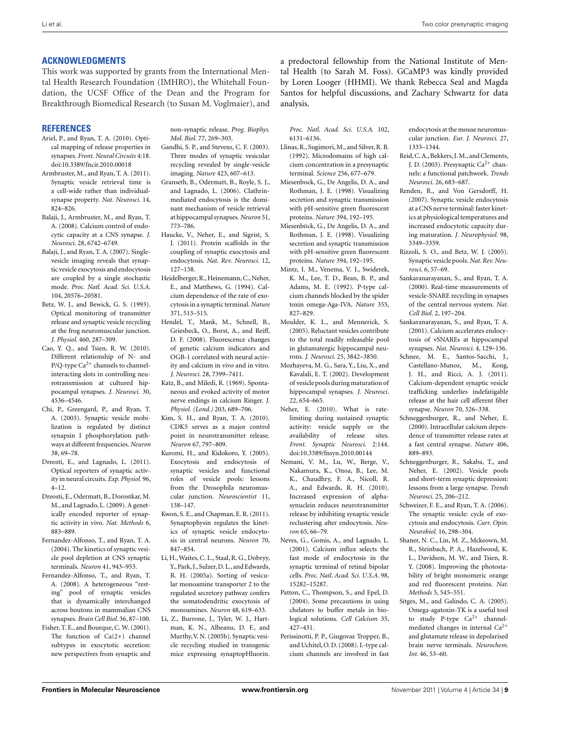# <span id="page-8-0"></span>**ACKNOWLEDGMENTS**

This work was supported by grants from the International Mental Health Research Foundation (IMHRO), the Whitehall Foundation, the UCSF Office of the Dean and the Program for Breakthrough Biomedical Research (to Susan M. Voglmaier), and

#### **REFERENCES**

- Ariel, P., and Ryan, T. A. (2010). Optical mapping of release properties in synapses. *Front. Neural Circuits* 4:18. doi[:10.3389/fncir.2010.00018](http://dx.doi.org/10.3389/fncir.2010.00018)
- Armbruster, M., and Ryan, T. A. (2011). Synaptic vesicle retrieval time is a cell-wide rather than individualsynapse property. *Nat. Neurosci.* 14, 824–826.
- Balaji, J., Armbruster, M., and Ryan, T. A. (2008). Calcium control of endocytic capacity at a CNS synapse. *J. Neurosci.* 28, 6742–6749.
- Balaji, J., and Ryan, T. A. (2007). Singlevesicle imaging reveals that synaptic vesicle exocytosis and endocytosis are coupled by a single stochastic mode. *Proc. Natl. Acad. Sci. U.S.A.* 104, 20576–20581.
- Betz, W. J., and Bewick, G. S. (1993). Optical monitoring of transmitter release and synaptic vesicle recycling at the frog neuromuscular junction. *J. Physiol.* 460, 287–309.
- Cao, Y. Q., and Tsien, R. W. (2010). Different relationship of N- and P/Q-type  $Ca^{2+}$  channels to channelinteracting slots in controlling neurotransmission at cultured hippocampal synapses. *J. Neurosci.* 30, 4536–4546.
- Chi, P., Greengard, P., and Ryan, T. A. (2003). Synaptic vesicle mobilization is regulated by distinct synapsin I phosphorylation pathways at different frequencies. *Neuron* 38, 69–78.
- Dreosti, E., and Lagnado, L. (2011). Optical reporters of synaptic activity in neural circuits. *Exp. Physiol.* 96, 4–12.
- Dreosti, E., Odermatt, B., Dorostkar, M. M., and Lagnado, L. (2009). A genetically encoded reporter of synaptic activity in vivo. *Nat. Methods* 6, 883–889.
- Fernandez-Alfonso, T., and Ryan, T. A. (2004). The kinetics of synaptic vesicle pool depletion at CNS synaptic terminals. *Neuron* 41, 943–953.
- Fernandez-Alfonso, T., and Ryan, T. A. (2008). A heterogeneous "resting" pool of synaptic vesicles that is dynamically interchanged across boutons in mammalian CNS synapses. *Brain Cell Biol.* 36, 87–100.
- Fisher, T. E., and Bourque, C. W. (2001). The function of Ca(2+) channel subtypes in exocytotic secretion: new perspectives from synaptic and

non-synaptic release. *Prog. Biophys. Mol. Biol.* 77, 269–303.

- Gandhi, S. P., and Stevens, C. F. (2003). Three modes of synaptic vesicular recycling revealed by single-vesicle imaging. *Nature* 423, 607–613.
- Granseth, B., Odermatt, B., Royle, S. J., and Lagnado, L. (2006). Clathrinmediated endocytosis is the dominant mechanism of vesicle retrieval at hippocampal synapses.*Neuron* 51, 773–786.
- Haucke, V., Neher, E., and Sigrist, S. J. (2011). Protein scaffolds in the coupling of synaptic exocytosis and endocytosis. *Nat. Rev. Neurosci.* 12, 127–138.
- Heidelberger, R., Heinemann, C., Neher, E., and Matthews, G. (1994). Calcium dependence of the rate of exocytosis in a synaptic terminal. *Nature* 371, 513–515.
- Hendel, T., Mank, M., Schnell, B., Griesbeck, O., Borst, A., and Reiff, D. F. (2008). Fluorescence changes of genetic calcium indicators and OGB-1 correlated with neural activity and calcium in vivo and in vitro. *J. Neurosci.* 28, 7399–7411.
- Katz, B., and Miledi, R. (1969). Spontaneous and evoked activity of motor nerve endings in calcium Ringer. *J. Physiol. (Lond.)* 203, 689–706.
- Kim, S. H., and Ryan, T. A. (2010). CDK5 serves as a major control point in neurotransmitter release. *Neuron* 67, 797–809.
- Kuromi, H., and Kidokoro, Y. (2005). Exocytosis and endocytosis of synaptic vesicles and functional roles of vesicle pools: lessons from the Drosophila neuromuscular junction. *Neuroscientist* 11, 138–147.
- Kwon, S. E., and Chapman, E. R. (2011). Synaptophysin regulates the kinetics of synaptic vesicle endocytosis in central neurons. *Neuron* 70, 847–854.
- Li, H., Waites, C. L., Staal, R. G., Dobryy, Y., Park, J., Sulzer, D. L., and Edwards, R. H. (2005a). Sorting of vesicular monoamine transporter 2 to the regulated secretory pathway confers the somatodendritic exocytosis of monoamines. *Neuron* 48, 619–633.
- Li, Z., Burrone, J., Tyler, W. J., Hartman, K. N., Albeanu, D. F., and Murthy,V. N. (2005b). Synaptic vesicle recycling studied in transgenic mice expressing synaptopHluorin.

a predoctoral fellowship from the National Institute of Mental Health (to Sarah M. Foss). GCaMP3 was kindly provided by Loren Looger (HHMI). We thank Rebecca Seal and Magda Santos for helpful discussions, and Zachary Schwartz for data analysis.

*Proc. Natl. Acad. Sci. U.S.A.* 102, 6131–6136.

- Llinas, R., Sugimori,M., and Silver, R. B. (1992). Microdomains of high calcium concentration in a presynaptic terminal. *Science* 256, 677–679.
- Miesenbock, G., De Angelis, D. A., and Rothman, J. E. (1998). Visualizing secretion and synaptic transmission with pH-sensitive green fluorescent proteins. *Nature* 394, 192–195.
- Miesenböck, G., De Angelis, D. A., and Rothman, J. E. (1998). Visualizing secretion and synaptic transmission with pH-sensitive green fluorescent proteins. *Nature* 394, 192–195.
- Mintz, I. M., Venema, V. J., Swiderek, K. M., Lee, T. D., Bean, B. P., and Adams, M. E. (1992). P-type calcium channels blocked by the spider toxin omega-Aga-IVA. *Nature* 355, 827–829.
- Moulder, K. L., and Mennerick, S. (2005). Reluctant vesicles contribute to the total readily releasable pool in glutamatergic hippocampal neurons. *J. Neurosci.* 25, 3842–3850.
- Mozhayeva, M. G., Sara, Y., Liu, X., and Kavalali, E. T. (2002). Development of vesicle pools during maturation of hippocampal synapses. *J. Neurosci.* 22, 654–665.
- Neher, E. (2010). What is ratelimiting during sustained synaptic activity: vesicle supply or the availability of release sites. *Front. Synaptic Neurosci.* 2:144. doi[:10.3389/fnsyn.2010.00144](http://dx.doi.org/10.3389/fnsyn.2010.00144)
- Nemani, V. M., Lu, W., Berge, V., Nakamura, K., Onoa, B., Lee, M. K., Chaudhry, F. A., Nicoll, R. A., and Edwards, R. H. (2010). Increased expression of alphasynuclein reduces neurotransmitter release by inhibiting synaptic vesicle reclustering after endocytosis. *Neuron* 65, 66–79.
- Neves, G., Gomis, A., and Lagnado, L. (2001). Calcium influx selects the fast mode of endocytosis in the synaptic terminal of retinal bipolar cells. *Proc. Natl. Acad. Sci. U.S.A.* 98, 15282–15287.
- Patton, C., Thompson, S., and Epel, D. (2004). Some precautions in using chelators to buffer metals in biological solutions. *Cell Calcium* 35, 427–431.
- Perissinotti, P. P., Giugovaz Tropper, B., and Uchitel, O. D. (2008). L-type calcium channels are involved in fast

endocytosis at the mouse neuromuscular junction. *Eur. J. Neurosci.* 27, 1333–1344.

- Reid,C.A., Bekkers, J.M., and Clements, J. D. (2003). Presynaptic  $Ca^{2+}$  channels: a functional patchwork. *Trends Neurosci.* 26, 683–687.
- Renden, R., and Von Gersdorff, H. (2007). Synaptic vesicle endocytosis at a CNS nerve terminal: faster kinetics at physiological temperatures and increased endocytotic capacity during maturation. *J. Neurophysiol.* 98, 3349–3359.
- Rizzoli, S. O., and Betz, W. J. (2005). Synaptic vesicle pools.*Nat. Rev. Neurosci.* 6, 57–69.
- Sankaranarayanan, S., and Ryan, T. A. (2000). Real-time measurements of vesicle-SNARE recycling in synapses of the central nervous system. *Nat. Cell Biol.* 2, 197–204.
- Sankaranarayanan, S., and Ryan, T. A. (2001). Calcium accelerates endocytosis of vSNAREs at hippocampal synapses. *Nat. Neurosci.* 4, 129–136.
- Schnee, M. E., Santos-Sacchi, J., Castellano-Munoz, M., Kong, J. H., and Ricci, A. J. (2011). Calcium-dependent synaptic vesicle trafficking underlies indefatigable release at the hair cell afferent fiber synapse. *Neuron* 70, 326–338.
- Schneggenburger, R., and Neher, E. (2000). Intracellular calcium dependence of transmitter release rates at a fast central synapse. *Nature* 406, 889–893.
- Schneggenburger, R., Sakaba, T., and Neher, E. (2002). Vesicle pools and short-term synaptic depression: lessons from a large synapse. *Trends Neurosci.* 25, 206–212.
- Schweizer, F. E., and Ryan, T. A. (2006). The synaptic vesicle: cycle of exocytosis and endocytosis. *Curr. Opin. Neurobiol.* 16, 298–304.
- Shaner, N. C., Lin, M. Z., Mckeown, M. R., Steinbach, P. A., Hazelwood, K. L., Davidson, M. W., and Tsien, R. Y. (2008). Improving the photostability of bright monomeric orange and red fluorescent proteins. *Nat. Methods* 5, 545–551.
- Sitges, M., and Galindo, C. A. (2005). Omega-agatoxin-TK is a useful tool to study P-type  $Ca^{2+}$  channelmediated changes in internal Ca2+ and glutamate release in depolarised brain nerve terminals. *Neurochem. Int.* 46, 53–60.